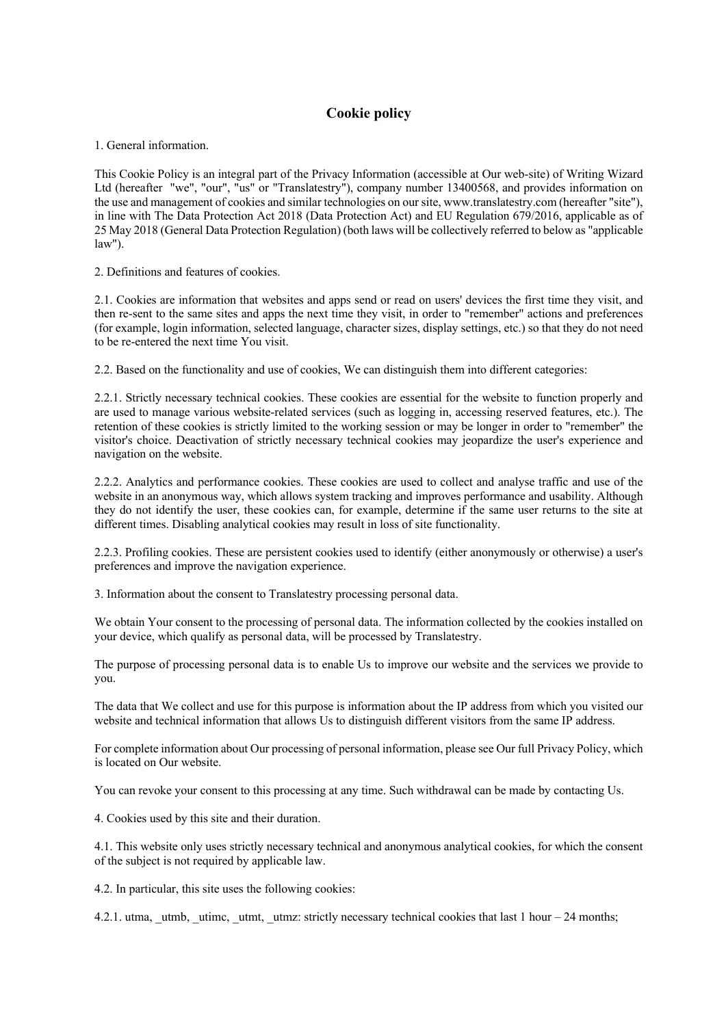## **Cookie policy**

1. General information.

This Cookie Policy is an integral part of the Privacy Information (accessible at Our web-site) of Writing Wizard Ltd (hereafter "we", "our", "us" or "Translatestry"), company number 13400568, and provides information on the use and management of cookies and similar technologies on our site, www.translatestry.com (hereafter "site"), in line with The Data Protection Act 2018 (Data Protection Act) and EU Regulation 679/2016, applicable as of 25 May 2018 (General Data Protection Regulation) (both laws will be collectively referred to below as "applicable law").

2. Definitions and features of cookies.

2.1. Cookies are information that websites and apps send or read on users' devices the first time they visit, and then re-sent to the same sites and apps the next time they visit, in order to "remember" actions and preferences (for example, login information, selected language, character sizes, display settings, etc.) so that they do not need to be re-entered the next time You visit.

2.2. Based on the functionality and use of cookies, We can distinguish them into different categories:

2.2.1. Strictly necessary technical cookies. These cookies are essential for the website to function properly and are used to manage various website-related services (such as logging in, accessing reserved features, etc.). The retention of these cookies is strictly limited to the working session or may be longer in order to "remember" the visitor's choice. Deactivation of strictly necessary technical cookies may jeopardize the user's experience and navigation on the website.

2.2.2. Analytics and performance cookies. These cookies are used to collect and analyse traffic and use of the website in an anonymous way, which allows system tracking and improves performance and usability. Although they do not identify the user, these cookies can, for example, determine if the same user returns to the site at different times. Disabling analytical cookies may result in loss of site functionality.

2.2.3. Profiling cookies. These are persistent cookies used to identify (either anonymously or otherwise) a user's preferences and improve the navigation experience.

3. Information about the consent to Translatestry processing personal data.

We obtain Your consent to the processing of personal data. The information collected by the cookies installed on your device, which qualify as personal data, will be processed by Translatestry.

The purpose of processing personal data is to enable Us to improve our website and the services we provide to you.

The data that We collect and use for this purpose is information about the IP address from which you visited our website and technical information that allows Us to distinguish different visitors from the same IP address.

For complete information about Our processing of personal information, please see Our full Privacy Policy, which is located on Our website.

You can revoke your consent to this processing at any time. Such withdrawal can be made by contacting Us.

4. Cookies used by this site and their duration.

4.1. This website only uses strictly necessary technical and anonymous analytical cookies, for which the consent of the subject is not required by applicable law.

4.2. In particular, this site uses the following cookies:

4.2.1. utma, utmb, utimc, utmt, utmz: strictly necessary technical cookies that last 1 hour – 24 months;